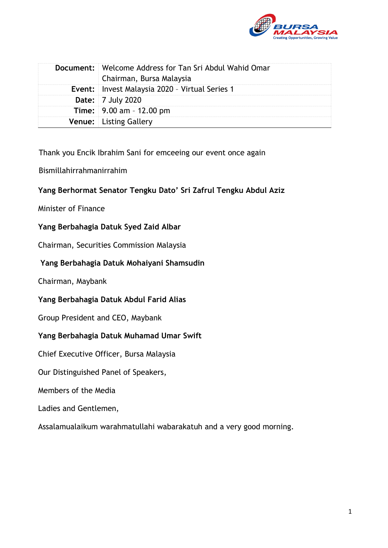

| Document:   Welcome Address for Tan Sri Abdul Wahid Omar<br>Chairman, Bursa Malaysia |
|--------------------------------------------------------------------------------------|
| <b>Event:</b> Invest Malaysia 2020 - Virtual Series 1                                |
| <b>Date:</b> 7 July 2020                                                             |
| <b>Time:</b> $9.00$ am $- 12.00$ pm                                                  |
| <b>Venue:</b> Listing Gallery                                                        |

Thank you Encik Ibrahim Sani for emceeing our event once again

Bismillahirrahmanirrahim

# **Yang Berhormat Senator Tengku Dato' Sri Zafrul Tengku Abdul Aziz**

Minister of Finance

### **Yang Berbahagia Datuk Syed Zaid Albar**

Chairman, Securities Commission Malaysia

### **Yang Berbahagia Datuk Mohaiyani Shamsudin**

Chairman, Maybank

### **Yang Berbahagia Datuk Abdul Farid Alias**

Group President and CEO, Maybank

### **Yang Berbahagia Datuk Muhamad Umar Swift**

Chief Executive Officer, Bursa Malaysia

Our Distinguished Panel of Speakers,

Members of the Media

Ladies and Gentlemen,

Assalamualaikum warahmatullahi wabarakatuh and a very good morning.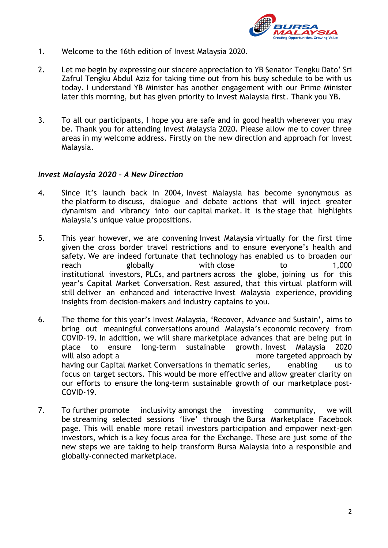

- 1. Welcome to the 16th edition of Invest Malaysia 2020.
- 2. Let me begin by expressing our sincere appreciation to YB Senator Tengku Dato' Sri Zafrul Tengku Abdul Aziz for taking time out from his busy schedule to be with us today. I understand YB Minister has another engagement with our Prime Minister later this morning, but has given priority to Invest Malaysia first. Thank you YB.
- 3. To all our participants, I hope you are safe and in good health wherever you may be. Thank you for attending Invest Malaysia 2020. Please allow me to cover three areas in my welcome address. Firstly on the new direction and approach for Invest Malaysia.

#### *Invest Malaysia 2020 – A New Direction*

- 4. Since it's launch back in 2004, Invest Malaysia has become synonymous as the platform to discuss, dialogue and debate actions that will inject greater dynamism and vibrancy into our capital market. It is the stage that highlights Malaysia's unique value propositions.
- 5. This year however, we are convening Invest Malaysia virtually for the first time given the cross border travel restrictions and to ensure everyone's health and safety. We are indeed fortunate that technology has enabled us to broaden our reach globally with close to 1,000 institutional investors, PLCs, and partners across the globe, joining us for this year's Capital Market Conversation. Rest assured, that this virtual platform will still deliver an enhanced and interactive Invest Malaysia experience, providing insights from decision-makers and industry captains to you.
- 6. The theme for this year's Invest Malaysia, 'Recover, Advance and Sustain', aims to bring out meaningful conversations around Malaysia's economic recovery from COVID-19. In addition, we will share marketplace advances that are being put in place to ensure long-term sustainable growth. Invest Malaysia 2020 will also adopt a more targeted approach by having our Capital Market Conversations in thematic series, enabling us to focus on target sectors. This would be more effective and allow greater clarity on our efforts to ensure the long-term sustainable growth of our marketplace post-COVID-19.
- 7. To further promote inclusivity amongst the investing community, we will be streaming selected sessions 'live' through the Bursa Marketplace Facebook page. This will enable more retail investors participation and empower next-gen investors, which is a key focus area for the Exchange. These are just some of the new steps we are taking to help transform Bursa Malaysia into a responsible and globally-connected marketplace.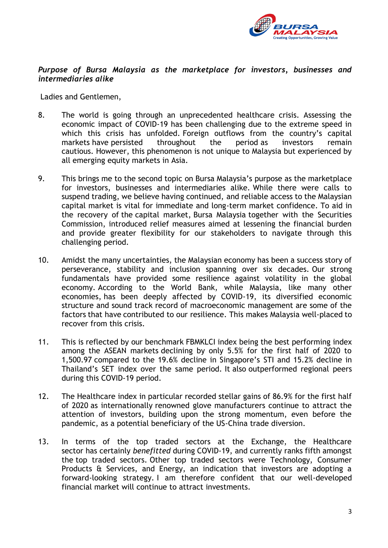

# *Purpose of Bursa Malaysia as the marketplace for investors, businesses and intermediaries alike*

Ladies and Gentlemen,

- 8. The world is going through an unprecedented healthcare crisis. Assessing the economic impact of COVID-19 has been challenging due to the extreme speed in which this crisis has unfolded. Foreign outflows from the country's capital markets have persisted throughout the period as investors remain cautious. However, this phenomenon is not unique to Malaysia but experienced by all emerging equity markets in Asia.
- 9. This brings me to the second topic on Bursa Malaysia's purpose as the marketplace for investors, businesses and intermediaries alike. While there were calls to suspend trading, we believe having continued, and reliable access to the Malaysian capital market is vital for immediate and long-term market confidence. To aid in the recovery of the capital market, Bursa Malaysia together with the Securities Commission, introduced relief measures aimed at lessening the financial burden and provide greater flexibility for our stakeholders to navigate through this challenging period.
- 10. Amidst the many uncertainties, the Malaysian economy has been a success story of perseverance, stability and inclusion spanning over six decades. Our strong fundamentals have provided some resilience against volatility in the global economy. According to the World Bank, while Malaysia, like many other economies, has been deeply affected by COVID-19, its diversified economic structure and sound track record of macroeconomic management are some of the factors that have contributed to our resilience. This makes Malaysia well-placed to recover from this crisis.
- 11. This is reflected by our benchmark FBMKLCI index being the best performing index among the ASEAN markets declining by only 5.5% for the first half of 2020 to 1,500.97 compared to the 19.6% decline in Singapore's STI and 15.2% decline in Thailand's SET index over the same period. It also outperformed regional peers during this COVID-19 period.
- 12. The Healthcare index in particular recorded stellar gains of 86.9% for the first half of 2020 as internationally renowned glove manufacturers continue to attract the attention of investors, building upon the strong momentum, even before the pandemic, as a potential beneficiary of the US-China trade diversion.
- 13. In terms of the top traded sectors at the Exchange, the Healthcare sector has certainly *benefitted* during COVID-19, and currently ranks fifth amongst the top traded sectors. Other top traded sectors were Technology, Consumer Products & Services, and Energy, an indication that investors are adopting a forward-looking strategy. I am therefore confident that our well-developed financial market will continue to attract investments.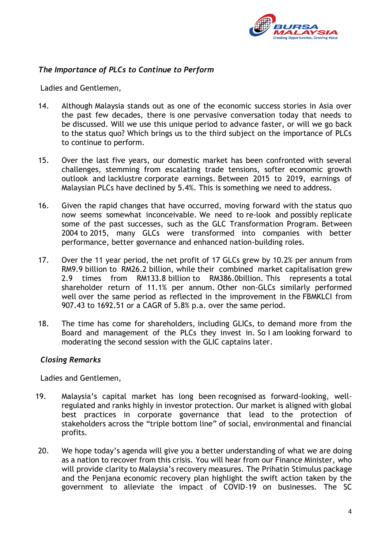

## *The Importance of PLCs to Continue to Perform*

Ladies and Gentlemen,

- 14. Although Malaysia stands out as one of the economic success stories in Asia over the past few decades, there is one pervasive conversation today that needs to be discussed. Will we use this unique period to advance faster, or will we go back to the status quo? Which brings us to the third subject on the importance of PLCs to continue to perform.
- 15. Over the last five years, our domestic market has been confronted with several challenges, stemming from escalating trade tensions, softer economic growth outlook and lacklustre corporate earnings. Between 2015 to 2019, earnings of Malaysian PLCs have declined by 5.4%. This is something we need to address.
- 16. Given the rapid changes that have occurred, moving forward with the status quo now seems somewhat inconceivable. We need to re-look and possibly replicate some of the past successes, such as the GLC Transformation Program. Between 2004 to 2015, many GLCs were transformed into companies with better performance, better governance and enhanced nation-building roles.
- 17. Over the 11 year period, the net profit of 17 GLCs grew by 10.2% per annum from RM9.9 billion to RM26.2 billion, while their combined market capitalisation grew 2.9 times from RM133.8 billion to RM386.0billion. This represents a total shareholder return of 11.1% per annum. Other non-GLCs similarly performed well over the same period as reflected in the improvement in the FBMKLCI from 907.43 to 1692.51 or a CAGR of 5.8% p.a. over the same period.
- 18. The time has come for shareholders, including GLICs, to demand more from the Board and management of the PLCs they invest in. So I am looking forward to moderating the second session with the GLIC captains later.

### *Closing Remarks*

Ladies and Gentlemen,

- 19. Malaysia's capital market has long been recognised as forward-looking, wellregulated and ranks highly in investor protection. Our market is aligned with global best practices in corporate governance that lead to the protection of stakeholders across the "triple bottom line" of social, environmental and financial profits.
- 20. We hope today's agenda will give you a better understanding of what we are doing as a nation to recover from this crisis. You will hear from our Finance Minister, who will provide clarity to Malaysia's recovery measures. The Prihatin Stimulus package and the Penjana economic recovery plan highlight the swift action taken by the government to alleviate the impact of COVID-19 on businesses. The SC